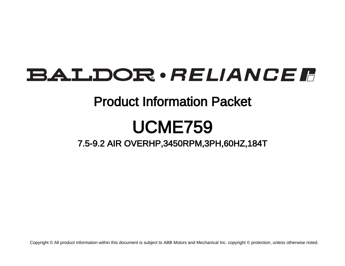# **BALDOR** · RELIANCE F

### Product Information Packet

# UCME759

7.5-9.2 AIR OVERHP,3450RPM,3PH,60HZ,184T

Copyright © All product information within this document is subject to ABB Motors and Mechanical Inc. copyright © protection, unless otherwise noted.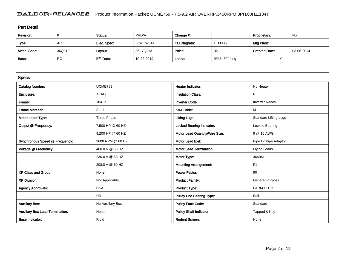#### BALDOR · RELIANCE F Product Information Packet: UCME759 - 7.5-9.2 AIR OVERHP,3450RPM,3PH,60HZ,184T

| <b>Part Detail</b> |           |             |            |             |               |                      |            |  |
|--------------------|-----------|-------------|------------|-------------|---------------|----------------------|------------|--|
| Revision:          | K         | Status:     | PRD/A      | Change #:   |               | Proprietary:         | No         |  |
| Type:              | AC        | Elec. Spec: | 36WGW514   | CD Diagram: | CD0005        | Mfg Plant:           |            |  |
| Mech. Spec:        | 36Q213    | Layout:     | 36LYQ213   | Poles:      | 02            | <b>Created Date:</b> | 03-06-2014 |  |
| Base:              | <b>RG</b> | Eff. Date:  | 10-22-2019 | Leads:      | 9#16 30" long |                      |            |  |

| <b>Specs</b>                           |                  |                                  |                              |
|----------------------------------------|------------------|----------------------------------|------------------------------|
| <b>Catalog Number:</b>                 | <b>UCME759</b>   | Heater Indicator:                | No Heater                    |
| Enclosure:                             | <b>TEAO</b>      | <b>Insulation Class:</b>         | F                            |
| Frame:                                 | 184TZ            | <b>Inverter Code:</b>            | <b>Inverter Ready</b>        |
| <b>Frame Material:</b>                 | Steel            | <b>KVA Code:</b>                 | M                            |
| Motor Letter Type:                     | Three Phase      | <b>Lifting Lugs:</b>             | <b>Standard Lifting Lugs</b> |
| Output @ Frequency:                    | 7.500 HP @ 60 HZ | <b>Locked Bearing Indicator:</b> | Locked Bearing               |
|                                        | 9.200 HP @ 60 HZ | Motor Lead Quantity/Wire Size:   | 9 @ 16 AWG                   |
| Synchronous Speed @ Frequency:         | 3600 RPM @ 60 HZ | <b>Motor Lead Exit:</b>          | Pipe Or Pipe Adaptor         |
| Voltage @ Frequency:                   | 460.0 V @ 60 HZ  | <b>Motor Lead Termination:</b>   | <b>Flying Leads</b>          |
|                                        | 230.0 V @ 60 HZ  | Motor Type:                      | 3640M                        |
|                                        | 208.0 V @ 60 HZ  | <b>Mounting Arrangement:</b>     | F <sub>1</sub>               |
| XP Class and Group:                    | None             | <b>Power Factor:</b>             | 90                           |
| <b>XP Division:</b>                    | Not Applicable   | <b>Product Family:</b>           | <b>General Purpose</b>       |
| <b>Agency Approvals:</b>               | <b>CSA</b>       | Product Type:                    | <b>FARM DUTY</b>             |
|                                        | <b>UR</b>        | <b>Pulley End Bearing Type:</b>  | Ball                         |
| <b>Auxillary Box:</b>                  | No Auxillary Box | <b>Pulley Face Code:</b>         | Standard                     |
| <b>Auxillary Box Lead Termination:</b> | None             | <b>Pulley Shaft Indicator:</b>   | Tapped & Key                 |
| <b>Base Indicator:</b>                 | Rigid            | <b>Rodent Screen:</b>            | None                         |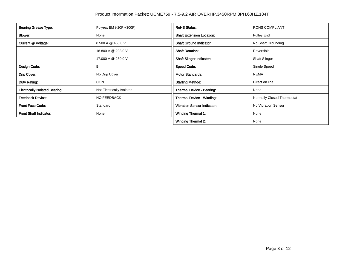| <b>Bearing Grease Type:</b>           | Polyrex EM (-20F +300F)   | <b>RoHS Status:</b>                | <b>ROHS COMPLIANT</b>      |
|---------------------------------------|---------------------------|------------------------------------|----------------------------|
| Blower:                               | None                      | <b>Shaft Extension Location:</b>   | Pulley End                 |
| Current @ Voltage:                    | 8.500 A @ 460.0 V         | <b>Shaft Ground Indicator:</b>     | No Shaft Grounding         |
|                                       | 18.800 A @ 208.0 V        | <b>Shaft Rotation:</b>             | Reversible                 |
|                                       | 17.000 A @ 230.0 V        | <b>Shaft Slinger Indicator:</b>    | <b>Shaft Slinger</b>       |
| Design Code:                          | В                         | <b>Speed Code:</b>                 | Single Speed               |
| Drip Cover:                           | No Drip Cover             | <b>Motor Standards:</b>            | <b>NEMA</b>                |
| Duty Rating:                          | <b>CONT</b>               | <b>Starting Method:</b>            | Direct on line             |
| <b>Electrically Isolated Bearing:</b> | Not Electrically Isolated | Thermal Device - Bearing:          | None                       |
| <b>Feedback Device:</b>               | NO FEEDBACK               | Thermal Device - Winding:          | Normally Closed Thermostat |
| <b>Front Face Code:</b>               | Standard                  | <b>Vibration Sensor Indicator:</b> | No Vibration Sensor        |
| <b>Front Shaft Indicator:</b>         | None                      | <b>Winding Thermal 1:</b>          | None                       |
|                                       |                           | <b>Winding Thermal 2:</b>          | None                       |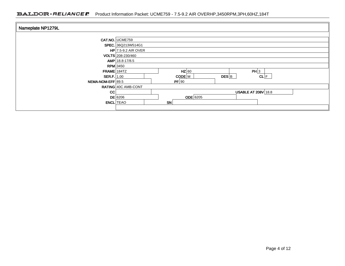| Nameplate NP1279L |                       |            |           |                            |  |  |
|-------------------|-----------------------|------------|-----------|----------------------------|--|--|
|                   | CAT.NO. UCME759       |            |           |                            |  |  |
|                   | SPEC. 36Q213W514G1    |            |           |                            |  |  |
|                   | $HP$ 7.5-9.2 AIR OVER |            |           |                            |  |  |
|                   | VOLTS 208-230/460     |            |           |                            |  |  |
|                   | AMP 18.8-17/8.5       |            |           |                            |  |  |
| $RPM$ 3450        |                       |            |           |                            |  |  |
| FRAME 184TZ       |                       | $HZ$ 60    |           | PH 3                       |  |  |
| $SER.F.$ 1.00     |                       | CODE M     | $DES$ $B$ | CL F                       |  |  |
| NEMA-NOM-EFF 89.5 |                       | PF 90      |           |                            |  |  |
|                   | RATING 40C AMB-CONT   |            |           |                            |  |  |
| <b>CC</b>         |                       |            |           | <b>USABLE AT 208V 18.8</b> |  |  |
|                   | DE 6206               | $ODE$ 6205 |           |                            |  |  |
| <b>ENCL</b> TEAO  |                       | SN         |           |                            |  |  |
|                   |                       |            |           |                            |  |  |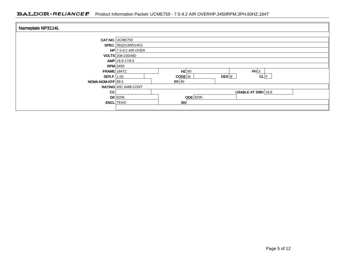| Nameplate NP3114L |                       |            |           |                            |      |  |
|-------------------|-----------------------|------------|-----------|----------------------------|------|--|
|                   | CAT.NO. UCME759       |            |           |                            |      |  |
|                   | SPEC. 36Q213W514G1    |            |           |                            |      |  |
|                   | $HP$ 7.5-9.2 AIR OVER |            |           |                            |      |  |
|                   | VOLTS 208-230/460     |            |           |                            |      |  |
|                   | $AMP$ 18.8-17/8.5     |            |           |                            |      |  |
|                   | $RPM$ 3450            |            |           |                            |      |  |
| FRAME 184TZ       |                       | $HZ$ 60    |           | PH 3                       |      |  |
| SER.F. $1.00$     |                       | $CODE$ M   | $DES$ $B$ |                            | CL F |  |
| NEMA-NOM-EFF 89.5 |                       | PF 90      |           |                            |      |  |
|                   | RATING 40C AMB-CONT   |            |           |                            |      |  |
| <b>CC</b>         |                       |            |           | <b>USABLE AT 208V 18.8</b> |      |  |
|                   | $DE$ 6206             | $ODE$ 6205 |           |                            |      |  |
| <b>ENCL</b> TEAO  |                       | <b>SN</b>  |           |                            |      |  |
|                   |                       |            |           |                            |      |  |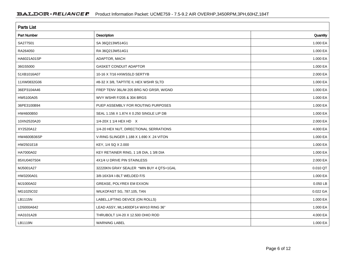| <b>Parts List</b>  |                                          |          |  |  |  |
|--------------------|------------------------------------------|----------|--|--|--|
| <b>Part Number</b> | Description                              | Quantity |  |  |  |
| SA277501           | SA 36Q213W514G1                          | 1.000 EA |  |  |  |
| RA264050           | RA 36Q213W514G1                          | 1.000 EA |  |  |  |
| HA6021A01SP        | ADAPTOR, MACH                            | 1.000 EA |  |  |  |
| 36GS5000           | <b>GASKET CONDUIT ADAPTOR</b>            | 1.000 EA |  |  |  |
| 51XB1016A07        | 10-16 X 7/16 HXWSSLD SERTYB              | 2.000 EA |  |  |  |
| 11XW0832G06        | #8-32 X 3/8, TAPTITE II, HEX WSHR SLTD   | 1.000 EA |  |  |  |
| 36EP3104A46        | FREP TENV 36L/M 205 BRG NO GRSR, W/GND   | 1.000 EA |  |  |  |
| HW5100A05          | WVY WSHR F/205 & 304 BRGS                | 1.000 EA |  |  |  |
| 36PE3100B94        | PUEP ASSEMBLY FOR ROUTING PURPOSES       | 1.000 EA |  |  |  |
| HW4600B50          | SEAL 1.156 X 1.874 X 0.250 SINGLE LIP DB | 1.000 EA |  |  |  |
| 10XN2520A20        | 1/4-20X 1 1/4 HEX HD X                   | 2.000 EA |  |  |  |
| XY2520A12          | 1/4-20 HEX NUT, DIRECTIONAL SERRATIONS   | 4.000 EA |  |  |  |
| HW4600B36SP        | V-RING SLINGER 1.188 X 1.690 X .24 VITON | 1.000 EA |  |  |  |
| HW2501E18          | KEY, 1/4 SQ X 2.000                      | 1.000 EA |  |  |  |
| HA7000A02          | KEY RETAINER RING, 1 1/8 DIA, 1 3/8 DIA  | 1.000 EA |  |  |  |
| 85XU0407S04        | 4X1/4 U DRIVE PIN STAINLESS              | 2.000 EA |  |  |  |
| MJ5001A27          | 32220KN GRAY SEALER *MIN BUY 4 QTS=1GAL  | 0.010 QT |  |  |  |
| HW3200A01          | 3/8-16X3/4 I-BLT WELDED F/S              | 1.000 EA |  |  |  |
| MJ1000A02          | GREASE, POLYREX EM EXXON                 | 0.050 LB |  |  |  |
| MG1025C02          | WILKOFAST SG, 787.105, TAN               | 0.022 GA |  |  |  |
| LB1115N            | LABEL, LIFTING DEVICE (ON ROLLS)         | 1.000 EA |  |  |  |
| LD5000A642         | LEAD ASSY, ML1400DF14 W/#10 RING 36"     | 1.000 EA |  |  |  |
| HA3101A28          | THRUBOLT 1/4-20 X 12.500 OHIO ROD        | 4.000 EA |  |  |  |
| LB1119N            | <b>WARNING LABEL</b>                     | 1.000 EA |  |  |  |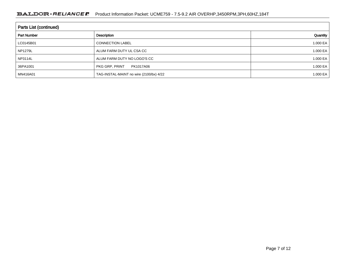| <b>Parts List (continued)</b> |                                         |              |  |  |  |
|-------------------------------|-----------------------------------------|--------------|--|--|--|
| <b>Part Number</b>            | Description                             | Quantity     |  |  |  |
| LC0145B01                     | <b>CONNECTION LABEL</b>                 | 1.000 EA $ $ |  |  |  |
| <b>NP1279L</b>                | ALUM FARM DUTY UL CSA CC                | 1.000 EA $ $ |  |  |  |
| NP3114L                       | ALUM FARM DUTY NO LOGO'S CC             | 1.000 EA $ $ |  |  |  |
| 36PA1001                      | PKG GRP, PRINT<br>PK1017A06             | 1.000 EA $ $ |  |  |  |
| MN416A01                      | TAG-INSTAL-MAINT no wire (2100/bx) 4/22 | 1.000 EA $ $ |  |  |  |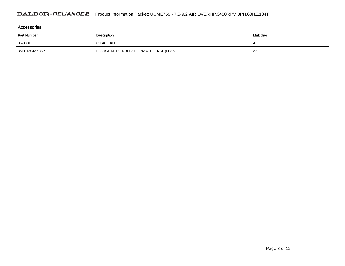| Accessories        |                                         |                   |  |  |  |
|--------------------|-----------------------------------------|-------------------|--|--|--|
| <b>Part Number</b> | Description                             | <b>Multiplier</b> |  |  |  |
| 36-3301            | C FACE KIT                              | A8                |  |  |  |
| 36EP1304A62SP      | FLANGE MTD ENDPLATE 182-4TD -ENCL (LESS | A8                |  |  |  |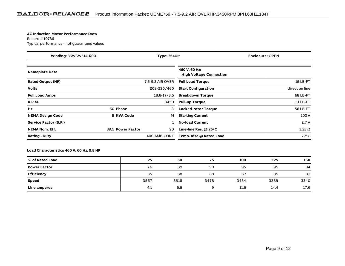#### **AC Induction Motor Performance Data**

Record # 10786Typical performance - not guaranteed values

| Winding: 36WGW514-R001<br><b>Type: 3640M</b> |                   | <b>Enclosure: OPEN</b> |                                                 |                |
|----------------------------------------------|-------------------|------------------------|-------------------------------------------------|----------------|
| <b>Nameplate Data</b>                        |                   |                        | 460 V, 60 Hz:<br><b>High Voltage Connection</b> |                |
| <b>Rated Output (HP)</b>                     |                   | 7.5-9.2 AIR OVER       | <b>Full Load Torque</b>                         | 15 LB-FT       |
| <b>Volts</b>                                 |                   | 208-230/460            | <b>Start Configuration</b>                      | direct on line |
| <b>Full Load Amps</b>                        |                   | 18.8-17/8.5            | <b>Breakdown Torque</b>                         | 68 LB-FT       |
| <b>R.P.M.</b>                                |                   | 3450                   | <b>Pull-up Torque</b>                           | 51 LB-FT       |
| Hz                                           | 60 Phase          | 3                      | <b>Locked-rotor Torque</b>                      | 56 LB-FT       |
| <b>NEMA Design Code</b>                      | <b>B KVA Code</b> | м                      | <b>Starting Current</b>                         | 100 A          |
| Service Factor (S.F.)                        |                   |                        | <b>No-load Current</b>                          | 2.7A           |
| <b>NEMA Nom. Eff.</b>                        | 89.5 Power Factor | 90                     | Line-line Res. $@$ 25 $°C$                      | $1.32 \Omega$  |
| <b>Rating - Duty</b>                         |                   | 40C AMB-CONT           | Temp. Rise @ Rated Load                         | $72^{\circ}$ C |

**Load Characteristics 460 V, 60 Hz, 9.8 HP**

| % of Rated Load     | 25   | 50   | 75   | 100  | 125  | 150  |
|---------------------|------|------|------|------|------|------|
| <b>Power Factor</b> | 76   | 89   | 93   | 95   | 95   | 94   |
| <b>Efficiency</b>   | 85   | 88   | 88   | 87   | 85   | 83   |
| Speed               | 3557 | 3518 | 3478 | 3434 | 3389 | 3340 |
| Line amperes        | 4.1  | 6.5  |      | 11.6 | 14.4 | 17.6 |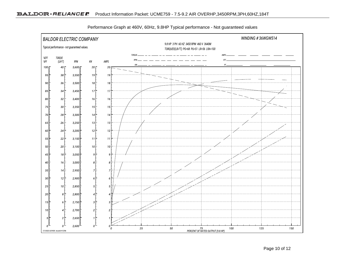

Performance Graph at 460V, 60Hz, 9.8HP Typical performance - Not guaranteed values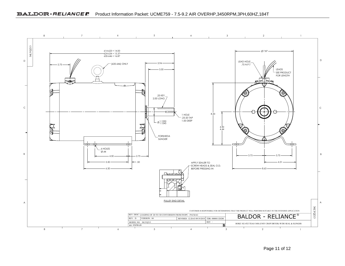